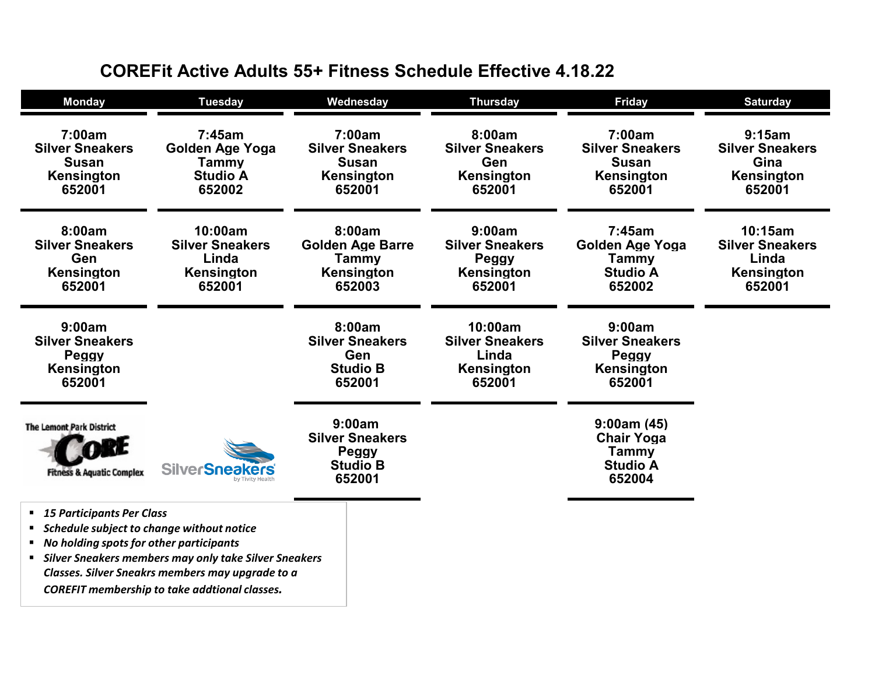| <b>Monday</b>                                                                                                                                                                           | <b>Tuesday</b>                                                     | Wednesday                                                                 | <b>Thursday</b>                                                    | <b>Friday</b>                                                            | <b>Saturday</b>                                                    |
|-----------------------------------------------------------------------------------------------------------------------------------------------------------------------------------------|--------------------------------------------------------------------|---------------------------------------------------------------------------|--------------------------------------------------------------------|--------------------------------------------------------------------------|--------------------------------------------------------------------|
| 7:00am<br><b>Silver Sneakers</b><br><b>Susan</b><br>Kensington<br>652001                                                                                                                | 7:45am<br>Golden Age Yoga<br>Tammy<br><b>Studio A</b><br>652002    | 7:00am<br><b>Silver Sneakers</b><br><b>Susan</b><br>Kensington<br>652001  | 8:00am<br><b>Silver Sneakers</b><br>Gen<br>Kensington<br>652001    | 7:00am<br><b>Silver Sneakers</b><br><b>Susan</b><br>Kensington<br>652001 | 9:15am<br><b>Silver Sneakers</b><br>Gina<br>Kensington<br>652001   |
| 8:00am<br><b>Silver Sneakers</b><br><b>Gen</b><br><b>Kensington</b><br>652001                                                                                                           | 10:00am<br><b>Silver Sneakers</b><br>Linda<br>Kensington<br>652001 | 8:00am<br><b>Golden Age Barre</b><br>Tammy<br><b>Kensington</b><br>652003 | 9:00am<br><b>Silver Sneakers</b><br>Peggy<br>Kensington<br>652001  | 7:45am<br>Golden Age Yoga<br>Tammy<br><b>Studio A</b><br>652002          | 10:15am<br><b>Silver Sneakers</b><br>Linda<br>Kensington<br>652001 |
| 9:00am<br><b>Silver Sneakers</b><br><b>Peggy</b><br>Kensington<br>652001                                                                                                                |                                                                    | 8:00am<br><b>Silver Sneakers</b><br>Gen<br><b>Studio B</b><br>652001      | 10:00am<br><b>Silver Sneakers</b><br>Linda<br>Kensington<br>652001 | 9:00am<br><b>Silver Sneakers</b><br><b>Peggy</b><br>Kensington<br>652001 |                                                                    |
| <b>The Lemont Park District</b><br><b>Fitness &amp; Aquatic Complex</b>                                                                                                                 | <b>SilverSneakers</b>                                              | 9:00am<br><b>Silver Sneakers</b><br>Peggy<br><b>Studio B</b><br>652001    |                                                                    | 9:00am(45)<br><b>Chair Yoga</b><br>Tammy<br><b>Studio A</b><br>652004    |                                                                    |
| ■ 15 Participants Per Class<br>" Schedule subject to change without notice<br>" No holding spots for other participants<br><b>Silver Sneakers members may only take Silver Sneakers</b> |                                                                    |                                                                           |                                                                    |                                                                          |                                                                    |

## **COREFit Active Adults 55+ Fitness Schedule Effective 4.18.22**

*Classes. Silver Sneakrs members may upgrade to a COREFIT membership to take addtional classes.*